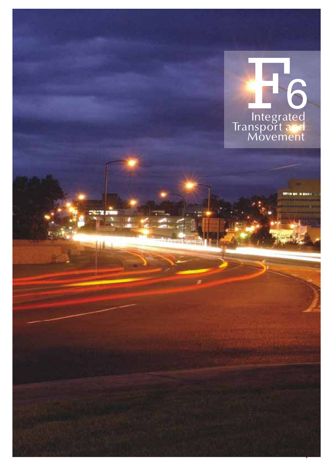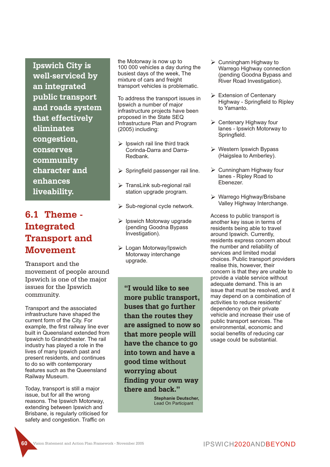**Ipswich City is well-serviced by an integrated public transport and roads system that effectively eliminates congestion, conserves community character and enhances liveability.**

# **6.1 Theme - Integrated Transport and Movement**

Transport and the movement of people around Ipswich is one of the major issues for the Ipswich community.

Transport and the associated infrastructure have shaped the current form of the City. For example, the first railway line ever built in Queensland extended from Ipswich to Grandchester. The rail industry has played a role in the lives of many Ipswich past and present residents, and continues to do so with contemporary features such as the Queensland Railway Museum.

Today, transport is still a major issue, but for all the wrong reasons. The Ipswich Motorway, extending between Ipswich and Brisbane, is regularly criticised for safety and congestion. Traffic on

the Motorway is now up to 100 000 vehicles a day during the busiest days of the week, The mixture of cars and freight transport vehicles is problematic.

To address the transport issues in Ipswich a number of major infrastructure projects have been proposed in the State SEQ Infrastructure Plan and Program (2005) including:

- $\triangleright$  Ipswich rail line third track Corinda-Darra and Darra-Redbank.
- $\triangleright$  Springfield passenger rail line.
- $\triangleright$  TransLink sub-regional rail station upgrade program.
- $\triangleright$  Sub-regional cycle network.
- $\triangleright$  Ipswich Motorway upgrade (pending Goodna Bypass Investigation).
- Ø Logan Motorway/Ipswich Motorway interchange upgrade.

**"I would like to see more public transport, buses that go further than the routes they are assigned to now so that more people will have the chance to go into town and have a good time without worrying about finding your own way there and back."**

> **Stephanie Deutscher,** Lead On Participant

- $\triangleright$  Cunningham Highway to Warrego Highway connection (pending Goodna Bypass and River Road Investigation).
- $\triangleright$  Extension of Centenary Highway - Springfield to Ripley to Yamanto.
- $\triangleright$  Centenary Highway four lanes - Ipswich Motorway to Springfield.
- $\triangleright$  Western Ipswich Bypass (Haigslea to Amberley).
- $\triangleright$  Cunningham Highway four lanes - Ripley Road to Ebenezer.
- Ø Warrego Highway/Brisbane Valley Highway Interchange.

Access to public transport is another key issue in terms of residents being able to travel around Ipswich. Currently, residents express concern about the number and reliability of services and limited modal choices. Public transport providers realise this, however, their concern is that they are unable to provide a viable service without adequate demand. This is an issue that must be resolved, and it may depend on a combination of activities to reduce residents' dependency on their private vehicle and increase their use of public transport services. The environmental, economic and social benefits of reducing car usage could be substantial.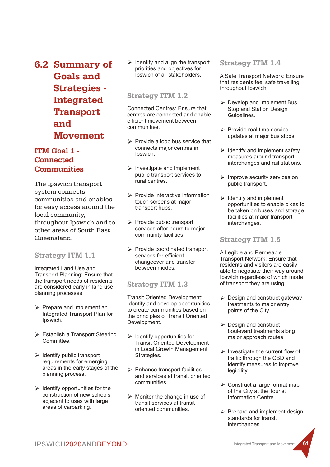**6.2 Summary of Goals and Strategies - Integrated Transport and Movement**

# **ITM Goal 1 - Connected Communities**

The Ipswich transport system connects communities and enables for easy access around the local community, throughout Ipswich and to other areas of South East Queensland.

## **Strategy ITM 1.1**

Integrated Land Use and Transport Planning: Ensure that the transport needs of residents are considered early in land use planning processes.

- $\triangleright$  Prepare and implement an Integrated Transport Plan for Ipswich.
- $\triangleright$  Establish a Transport Steering Committee.
- $\triangleright$  Identify public transport requirements for emerging areas in the early stages of the planning process.
- $\triangleright$  Identify opportunities for the construction of new schools adjacent to uses with large areas of carparking.

 $\triangleright$  Identify and align the transport priorities and objectives for Ipswich of all stakeholders.

#### **Strategy ITM 1.2**

Connected Centres: Ensure that centres are connected and enable efficient movement between communities.

- $\triangleright$  Provide a loop bus service that connects major centres in Ipswich.
- $\triangleright$  Investigate and implement public transport services to rural centres.
- $\triangleright$  Provide interactive information touch screens at major transport hubs.
- $\triangleright$  Provide public transport services after hours to major community facilities.
- $\triangleright$  Provide coordinated transport services for efficient changeover and transfer between modes.

# **Strategy ITM 1.3**

Transit Oriented Development: Identify and develop opportunities to create communities based on the principles of Transit Oriented Development.

- $\triangleright$  Identify opportunities for Transit Oriented Development in Local Growth Management Strategies.
- $\triangleright$  Enhance transport facilities and services at transit oriented communities.
- $\triangleright$  Monitor the change in use of transit services at transit oriented communities.

#### **Strategy ITM 1.4**

A Safe Transport Network: Ensure that residents feel safe travelling throughout Ipswich.

- $\triangleright$  Develop and implement Bus Stop and Station Design Guidelines.
- $\triangleright$  Provide real time service updates at major bus stops.
- $\triangleright$  Identify and implement safety measures around transport interchanges and rail stations.
- $\triangleright$  Improve security services on public transport.
- $\triangleright$  Identify and implement opportunities to enable bikes to be taken on buses and storage facilities at major transport interchanges.

## **Strategy ITM 1.5**

A Legible and Permeable Transport Network: Ensure that residents and visitors are easily able to negotiate their way around Ipswich regardless of which mode of transport they are using.

- $\triangleright$  Design and construct gateway treatments to major entry points of the City.
- $\triangleright$  Design and construct boulevard treatments along major approach routes.
- $\triangleright$  Investigate the current flow of traffic through the CBD and identify measures to improve legibility.
- $\triangleright$  Construct a large format map of the City at the Tourist Information Centre.
- $\triangleright$  Prepare and implement design standards for transit interchanges.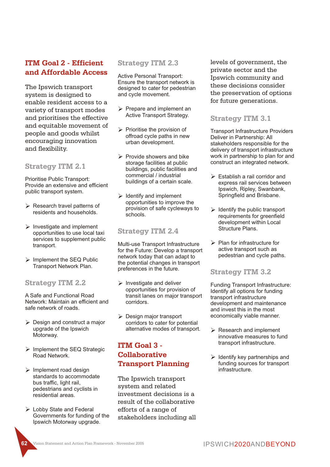# **ITM Goal 2 - Efficient and Affordable Access**

The Ipswich transport system is designed to enable resident access to a variety of transport modes and prioritises the effective and equitable movement of people and goods whilst encouraging innovation and flexibility.

#### **Strategy ITM 2.1**

Prioritise Public Transport: Provide an extensive and efficient public transport system.

- $\triangleright$  Research travel patterns of residents and households.
- $\triangleright$  Investigate and implement opportunities to use local taxi services to supplement public transport.
- $\triangleright$  Implement the SEQ Public Transport Network Plan.

#### **Strategy ITM 2.2**

A Safe and Functional Road Network: Maintain an efficient and safe network of roads.

- $\triangleright$  Design and construct a major upgrade of the Ipswich Motorway.
- $\triangleright$  Implement the SEQ Strategic Road Network.
- $\triangleright$  Implement road design standards to accommodate bus traffic, light rail, pedestrians and cyclists in residential areas.
- Ø Lobby State and Federal Governments for funding of the Ipswich Motorway upgrade.

#### **Strategy ITM 2.3**

Active Personal Transport: Ensure the transport network is designed to cater for pedestrian and cycle movement.

- $\triangleright$  Prepare and implement an Active Transport Strategy.
- $\triangleright$  Prioritise the provision of offroad cycle paths in new urban development.
- $\triangleright$  Provide showers and bike storage facilities at public buildings, public facilities and commercial / industrial buildings of a certain scale.
- $\triangleright$  Identify and implement opportunities to improve the provision of safe cycleways to schools.

#### **Strategy ITM 2.4**

Multi-use Transport Infrastructure for the Future: Develop a transport network today that can adapt to the potential changes in transport preferences in the future.

- $\triangleright$  Investigate and deliver opportunities for provision of transit lanes on major transport corridors.
- $\triangleright$  Design major transport corridors to cater for potential alternative modes of transport.

# **ITM Goal 3 - Collaborative Transport Planning**

The Ipswich transport system and related investment decisions is a result of the collaborative efforts of a range of stakeholders including all levels of government, the private sector and the Ipswich community and these decisions consider the preservation of options for future generations.

#### **Strategy ITM 3.1**

Transport Infrastructure Providers Deliver in Partnership: All stakeholders responsible for the delivery of transport infrastructure work in partnership to plan for and construct an integrated network.

- $\triangleright$  Establish a rail corridor and express rail services between Ipswich, Ripley, Swanbank, Springfield and Brisbane.
- $\triangleright$  Identify the public transport requirements for greenfield development within Local Structure Plans.
- $\triangleright$  Plan for infrastructure for active transport such as pedestrian and cycle paths.

#### **Strategy ITM 3.2**

Funding Transport Infrastructure: Identify all options for funding transport infrastructure development and maintenance and invest this in the most economically viable manner.

- $\triangleright$  Research and implement innovative measures to fund transport infrastructure.
- $\triangleright$  Identify key partnerships and funding sources for transport infrastructure.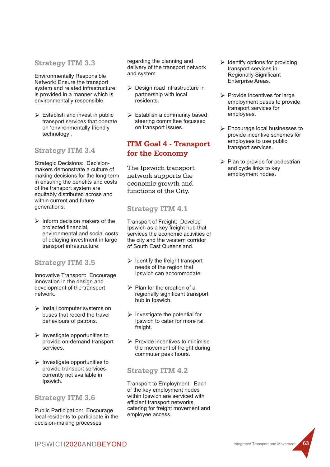#### **Strategy ITM 3.3**

Environmentally Responsible Network: Ensure the transport system and related infrastructure is provided in a manner which is environmentally responsible.

 $\triangleright$  Establish and invest in public transport services that operate on 'environmentally friendly technology'.

## **Strategy ITM 3.4**

Strategic Decisions: Decisionmakers demonstrate a culture of making decisions for the long-term in ensuring the benefits and costs of the transport system are equitably distributed across and within current and future generations.

 $\triangleright$  Inform decision makers of the projected financial, environmental and social costs of delaying investment in large transport infrastructure.

## **Strategy ITM 3.5**

Innovative Transport: Encourage innovation in the design and development of the transport network.

- $\triangleright$  Install computer systems on buses that record the travel behaviours of patrons.
- $\triangleright$  Investigate opportunities to provide on-demand transport services.
- $\triangleright$  Investigate opportunities to provide transport services currently not available in Ipswich.

## **Strategy ITM 3.6**

Public Participation: Encourage local residents to participate in the decision-making processes

regarding the planning and delivery of the transport network and system.

- Ø Design road infrastructure in partnership with local residents.
- $\triangleright$  Establish a community based steering committee focussed on transport issues.

# **ITM Goal 4 - Transport for the Economy**

The Ipswich transport network supports the economic growth and functions of the City.

# **Strategy ITM 4.1**

Transport of Freight: Develop Ipswich as a key freight hub that services the economic activities of the city and the western corridor of South East Queensland.

- $\triangleright$  Identify the freight transport needs of the region that Ipswich can accommodate.
- $\triangleright$  Plan for the creation of a regionally significant transport hub in Ipswich.
- $\triangleright$  Investigate the potential for Ipswich to cater for more rail freight.
- $\triangleright$  Provide incentives to minimise the movement of freight during commuter peak hours.

## **Strategy ITM 4.2**

Transport to Employment: Each of the key employment nodes within Ipswich are serviced with efficient transport networks, catering for freight movement and employee access.

- $\triangleright$  Identify options for providing transport services in Regionally Significant Enterprise Areas.
- $\triangleright$  Provide incentives for large employment bases to provide transport services for employees.
- $\triangleright$  Encourage local businesses to provide incentive schemes for employees to use public transport services.
- $\triangleright$  Plan to provide for pedestrian and cycle links to key employment nodes.